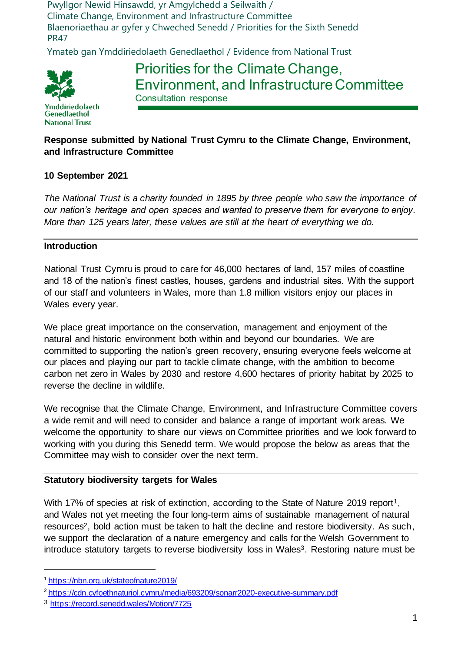Pwyllgor Newid Hinsawdd, yr Amgylchedd a Seilwaith / Climate Change, Environment and Infrastructure Committee Blaenoriaethau ar gyfer y Chweched Senedd / Priorities for the Sixth Senedd PR47

Ymateb gan Ymddiriedolaeth Genedlaethol / Evidence from National Trust



Priorities for the Climate Change, Environment, and Infrastructure Committee Consultation response

Ymddiriedolaeth Genedlaethol **National Trust** 

# **Response submitted by National Trust Cymru to the Climate Change, Environment, and Infrastructure Committee**

## **10 September 2021**

*The National Trust is a charity founded in 1895 by three people who saw the importance of our nation's heritage and open spaces and wanted to preserve them for everyone to enjoy. More than 125 years later, these values are still at the heart of everything we do.* 

### **Introduction**

National Trust Cymru is proud to care for 46,000 hectares of land, 157 miles of coastline and 18 of the nation's finest castles, houses, gardens and industrial sites. With the support of our staff and volunteers in Wales, more than 1.8 million visitors enjoy our places in Wales every year.

We place great importance on the conservation, management and enjoyment of the natural and historic environment both within and beyond our boundaries. We are committed to supporting the nation's green recovery, ensuring everyone feels welcome at our places and playing our part to tackle climate change, with the ambition to become carbon net zero in Wales by 2030 and restore 4,600 hectares of priority habitat by 2025 to reverse the decline in wildlife.

We recognise that the Climate Change, Environment, and Infrastructure Committee covers a wide remit and will need to consider and balance a range of important work areas. We welcome the opportunity to share our views on Committee priorities and we look forward to working with you during this Senedd term. We would propose the below as areas that the Committee may wish to consider over the next term.

### **Statutory biodiversity targets for Wales**

With 17% of species at risk of extinction, according to the State of Nature 2019 report<sup>1</sup>, and Wales not yet meeting the four long-term aims of sustainable management of natural resources2, bold action must be taken to halt the decline and restore biodiversity. As such, we support the declaration of a nature emergency and calls for the Welsh Government to introduce statutory targets to reverse biodiversity loss in Wales<sup>3</sup>. Restoring nature must be

<sup>1</sup> <https://nbn.org.uk/stateofnature2019/>

<sup>2</sup> <https://cdn.cyfoethnaturiol.cymru/media/693209/sonarr2020-executive-summary.pdf>

<sup>3</sup> <https://record.senedd.wales/Motion/7725>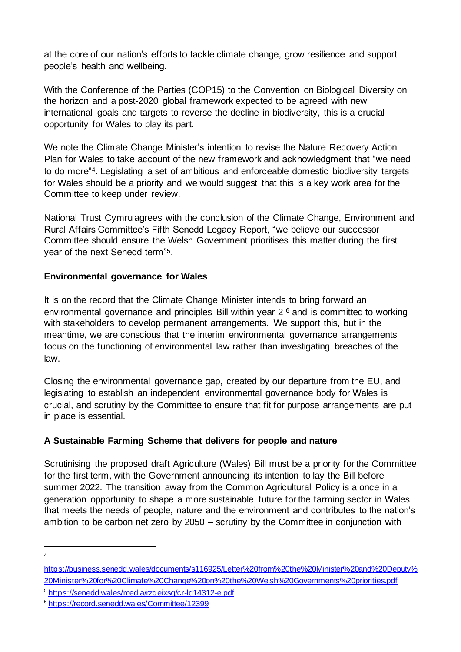at the core of our nation's efforts to tackle climate change, grow resilience and support people's health and wellbeing.

With the Conference of the Parties (COP15) to the Convention on Biological Diversity on the horizon and a post-2020 global framework expected to be agreed with new international goals and targets to reverse the decline in biodiversity, this is a crucial opportunity for Wales to play its part.

We note the Climate Change Minister's intention to revise the Nature Recovery Action Plan for Wales to take account of the new framework and acknowledgment that "we need to do more"4. Legislating a set of ambitious and enforceable domestic biodiversity targets for Wales should be a priority and we would suggest that this is a key work area for the Committee to keep under review.

National Trust Cymru agrees with the conclusion of the Climate Change, Environment and Rural Affairs Committee's Fifth Senedd Legacy Report, "we believe our successor Committee should ensure the Welsh Government prioritises this matter during the first year of the next Senedd term"5.

### **Environmental governance for Wales**

It is on the record that the Climate Change Minister intends to bring forward an environmental governance and principles Bill within year 2 <sup>6</sup> and is committed to working with stakeholders to develop permanent arrangements. We support this, but in the meantime, we are conscious that the interim environmental governance arrangements focus on the functioning of environmental law rather than investigating breaches of the law.

Closing the environmental governance gap, created by our departure from the EU, and legislating to establish an independent environmental governance body for Wales is crucial, and scrutiny by the Committee to ensure that fit for purpose arrangements are put in place is essential.

### **A Sustainable Farming Scheme that delivers for people and nature**

Scrutinising the proposed draft Agriculture (Wales) Bill must be a priority for the Committee for the first term, with the Government announcing its intention to lay the Bill before summer 2022. The transition away from the Common Agricultural Policy is a once in a generation opportunity to shape a more sustainable future for the farming sector in Wales that meets the needs of people, nature and the environment and contributes to the nation's ambition to be carbon net zero by 2050 – scrutiny by the Committee in conjunction with

<sup>4</sup>

[https://business.senedd.wales/documents/s116925/Letter%20from%20the%20Minister%20and%20Deputy%](https://business.senedd.wales/documents/s116925/Letter%20from%20the%20Minister%20and%20Deputy%20Minister%20for%20Climate%20Change%20on%20the%20Welsh%20Governments%20priorities.pdf) [20Minister%20for%20Climate%20Change%20on%20the%20Welsh%20Governments%20priorities.pdf](https://business.senedd.wales/documents/s116925/Letter%20from%20the%20Minister%20and%20Deputy%20Minister%20for%20Climate%20Change%20on%20the%20Welsh%20Governments%20priorities.pdf)

<sup>5</sup> <https://senedd.wales/media/rzqeixsg/cr-ld14312-e.pdf>

<sup>6</sup> <https://record.senedd.wales/Committee/12399>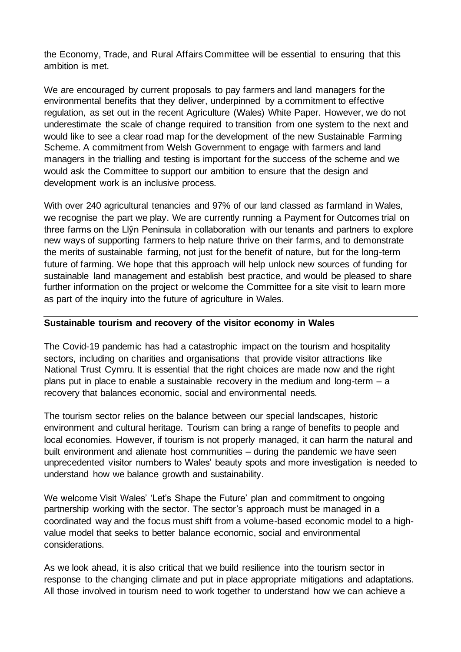the Economy, Trade, and Rural Affairs Committee will be essential to ensuring that this ambition is met.

We are encouraged by current proposals to pay farmers and land managers for the environmental benefits that they deliver, underpinned by a commitment to effective regulation, as set out in the recent Agriculture (Wales) White Paper. However, we do not underestimate the scale of change required to transition from one system to the next and would like to see a clear road map for the development of the new Sustainable Farming Scheme. A commitment from Welsh Government to engage with farmers and land managers in the trialling and testing is important for the success of the scheme and we would ask the Committee to support our ambition to ensure that the design and development work is an inclusive process.

With over 240 agricultural tenancies and 97% of our land classed as farmland in Wales, we recognise the part we play. We are currently running a Payment for Outcomes trial on three farms on the Llŷn Peninsula in collaboration with our tenants and partners to explore new ways of supporting farmers to help nature thrive on their farms, and to demonstrate the merits of sustainable farming, not just for the benefit of nature, but for the long-term future of farming. We hope that this approach will help unlock new sources of funding for sustainable land management and establish best practice, and would be pleased to share further information on the project or welcome the Committee for a site visit to learn more as part of the inquiry into the future of agriculture in Wales.

#### **Sustainable tourism and recovery of the visitor economy in Wales**

The Covid-19 pandemic has had a catastrophic impact on the tourism and hospitality sectors, including on charities and organisations that provide visitor attractions like National Trust Cymru. It is essential that the right choices are made now and the right plans put in place to enable a sustainable recovery in the medium and long-term – a recovery that balances economic, social and environmental needs.

The tourism sector relies on the balance between our special landscapes, historic environment and cultural heritage. Tourism can bring a range of benefits to people and local economies. However, if tourism is not properly managed, it can harm the natural and built environment and alienate host communities – during the pandemic we have seen unprecedented visitor numbers to Wales' beauty spots and more investigation is needed to understand how we balance growth and sustainability.

We welcome Visit Wales' 'Let's Shape the Future' plan and commitment to ongoing partnership working with the sector. The sector's approach must be managed in a coordinated way and the focus must shift from a volume-based economic model to a highvalue model that seeks to better balance economic, social and environmental considerations.

As we look ahead, it is also critical that we build resilience into the tourism sector in response to the changing climate and put in place appropriate mitigations and adaptations. All those involved in tourism need to work together to understand how we can achieve a